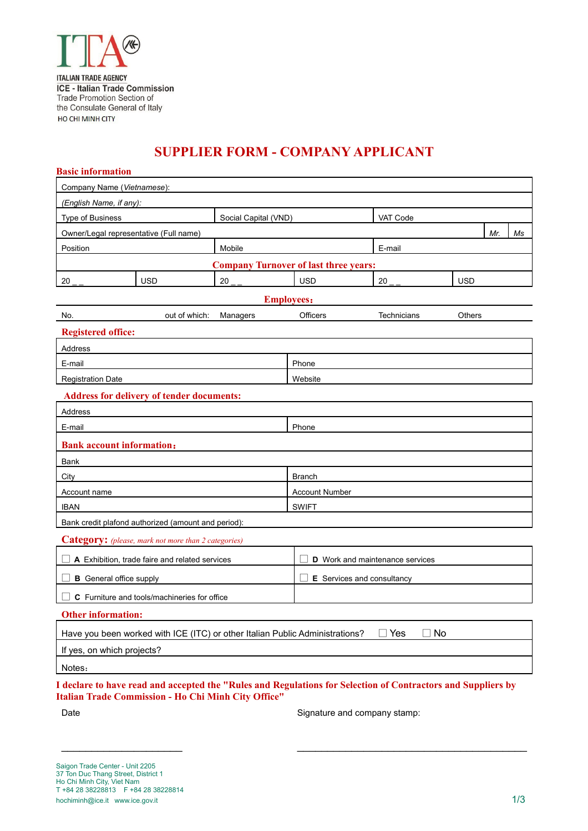

## **SUPPLIER FORM - COMPANY APPLICANT**

| <b>Basic information</b>                                                                                     |                                                  |                      |                                        |             |            |     |    |  |  |
|--------------------------------------------------------------------------------------------------------------|--------------------------------------------------|----------------------|----------------------------------------|-------------|------------|-----|----|--|--|
| Company Name (Vietnamese):                                                                                   |                                                  |                      |                                        |             |            |     |    |  |  |
| (English Name, if any):                                                                                      |                                                  |                      |                                        |             |            |     |    |  |  |
| <b>Type of Business</b>                                                                                      |                                                  | Social Capital (VND) |                                        | VAT Code    |            |     |    |  |  |
| Owner/Legal representative (Full name)                                                                       |                                                  |                      |                                        |             |            | Mr. | Ms |  |  |
| Position                                                                                                     | Mobile                                           |                      |                                        |             | E-mail     |     |    |  |  |
| <b>Company Turnover of last three years:</b>                                                                 |                                                  |                      |                                        |             |            |     |    |  |  |
| 20                                                                                                           | <b>USD</b>                                       | 20                   | <b>USD</b>                             | 20          | <b>USD</b> |     |    |  |  |
|                                                                                                              |                                                  | <b>Employees:</b>    |                                        |             |            |     |    |  |  |
| No.                                                                                                          | out of which:                                    | Managers             | Officers                               | Technicians | Others     |     |    |  |  |
| <b>Registered office:</b>                                                                                    |                                                  |                      |                                        |             |            |     |    |  |  |
| Address                                                                                                      |                                                  |                      |                                        |             |            |     |    |  |  |
| E-mail                                                                                                       |                                                  |                      | Phone                                  |             |            |     |    |  |  |
| <b>Registration Date</b>                                                                                     |                                                  |                      | Website                                |             |            |     |    |  |  |
|                                                                                                              | <b>Address for delivery of tender documents:</b> |                      |                                        |             |            |     |    |  |  |
| Address                                                                                                      |                                                  |                      |                                        |             |            |     |    |  |  |
| E-mail                                                                                                       |                                                  | Phone                |                                        |             |            |     |    |  |  |
| <b>Bank account information:</b>                                                                             |                                                  |                      |                                        |             |            |     |    |  |  |
| Bank                                                                                                         |                                                  |                      |                                        |             |            |     |    |  |  |
| City                                                                                                         |                                                  |                      | <b>Branch</b>                          |             |            |     |    |  |  |
| Account name                                                                                                 |                                                  |                      | <b>Account Number</b>                  |             |            |     |    |  |  |
| <b>IBAN</b>                                                                                                  |                                                  |                      | <b>SWIFT</b>                           |             |            |     |    |  |  |
| Bank credit plafond authorized (amount and period):                                                          |                                                  |                      |                                        |             |            |     |    |  |  |
| <b>Category:</b> (please, mark not more than 2 categories)                                                   |                                                  |                      |                                        |             |            |     |    |  |  |
| A Exhibition, trade faire and related services                                                               |                                                  |                      | <b>D</b> Work and maintenance services |             |            |     |    |  |  |
| <b>B</b> General office supply                                                                               |                                                  |                      | E Services and consultancy             |             |            |     |    |  |  |
| C Furniture and tools/machineries for office                                                                 |                                                  |                      |                                        |             |            |     |    |  |  |
| Other information:                                                                                           |                                                  |                      |                                        |             |            |     |    |  |  |
| <b>No</b><br>$\square$ Yes<br>Have you been worked with ICE (ITC) or other Italian Public Administrations?   |                                                  |                      |                                        |             |            |     |    |  |  |
| If yes, on which projects?                                                                                   |                                                  |                      |                                        |             |            |     |    |  |  |
| Notes:                                                                                                       |                                                  |                      |                                        |             |            |     |    |  |  |
| I declare to have read and accepted the "Rules and Regulations for Selection of Contractors and Suppliers by |                                                  |                      |                                        |             |            |     |    |  |  |

\_\_\_\_\_\_\_\_\_\_\_\_\_\_\_\_\_\_\_\_ \_\_\_\_\_\_\_\_\_\_\_\_\_\_\_\_\_\_\_\_\_\_\_\_\_\_\_\_\_\_\_\_\_\_\_\_\_\_

**Italian Trade Commission - Ho Chi Minh City Office"** 

Date **Signature and company stamp:** Signature and company stamp: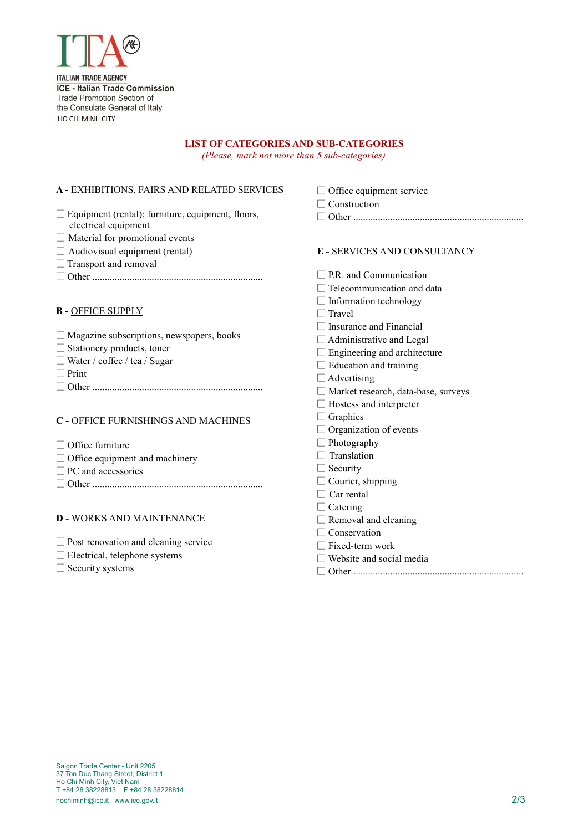

## **LIST OF CATEGORIES AND SUB-CATEGORIES**

*(Please, mark not more than 5 sub-categories)*

## **A -** EXHIBITIONS, FAIRS AND RELATED SERVICES

|                                                                                  | Construction                                                                                            |  |  |
|----------------------------------------------------------------------------------|---------------------------------------------------------------------------------------------------------|--|--|
| $\Box$ Equipment (rental): furniture, equipment, floors,<br>electrical equipment |                                                                                                         |  |  |
| $\Box$ Material for promotional events                                           |                                                                                                         |  |  |
| $\Box$ Audiovisual equipment (rental)                                            | E - SERVICES AND CONSULTANCY                                                                            |  |  |
| $\Box$ Transport and removal                                                     |                                                                                                         |  |  |
|                                                                                  | $\Box$ P.R. and Communication                                                                           |  |  |
|                                                                                  | Telecommunication and data                                                                              |  |  |
|                                                                                  | $\Box$ Information technology                                                                           |  |  |
| <b>B-OFFICE SUPPLY</b>                                                           | $\Box$ Travel                                                                                           |  |  |
|                                                                                  | Insurance and Financial                                                                                 |  |  |
| $\Box$ Magazine subscriptions, newspapers, books                                 | $\Box$ Administrative and Legal<br>$\Box$ Engineering and architecture<br>$\Box$ Education and training |  |  |
| $\Box$ Stationery products, toner                                                |                                                                                                         |  |  |
| $\Box$ Water / coffee / tea / Sugar                                              |                                                                                                         |  |  |
| $\Box$ Print                                                                     | $\Box$ Advertising                                                                                      |  |  |
|                                                                                  | $\Box$ Market research, data-base, surveys                                                              |  |  |
|                                                                                  | $\Box$ Hostess and interpreter                                                                          |  |  |
| C - OFFICE FURNISHINGS AND MACHINES                                              | $\Box$ Graphics                                                                                         |  |  |
|                                                                                  | $\Box$ Organization of events                                                                           |  |  |
| $\Box$ Office furniture                                                          | $\Box$ Photography                                                                                      |  |  |
| $\Box$ Office equipment and machinery                                            | Translation                                                                                             |  |  |
| $\Box$ PC and accessories                                                        | $\Box$ Security                                                                                         |  |  |
|                                                                                  | Courier, shipping                                                                                       |  |  |
|                                                                                  | Car rental                                                                                              |  |  |
|                                                                                  | $\Box$ Catering                                                                                         |  |  |
| <b>D - WORKS AND MAINTENANCE</b>                                                 | $\Box$ Removal and cleaning                                                                             |  |  |
|                                                                                  | $\Box$ Conservation                                                                                     |  |  |

- □ Post renovation and cleaning service
- □ Electrical, telephone systems

□ Security systems

- □ Fixed-term work
- $\square$  Website and social media

□ Office equipment service

 $\Box \text{ Other } \rule{0pt}{2em}$